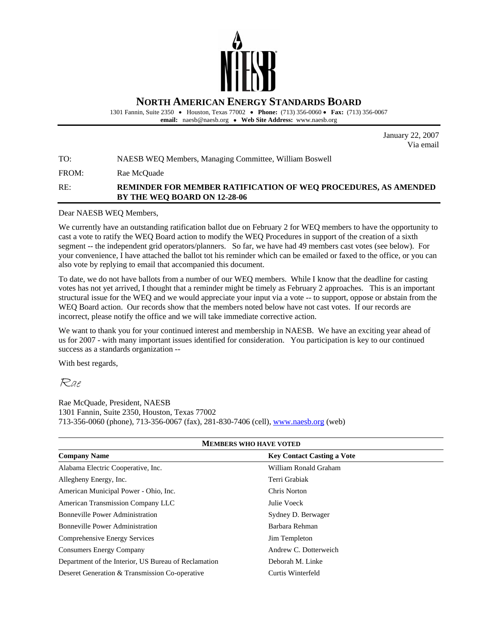

1301 Fannin, Suite 2350 • Houston, Texas 77002• **Phone:** (713) 356-0060 • **Fax:** (713) 356-0067 **email:** naesb@naesb.org • **Web Site Address:** www.naesb.org

> January 22, 2007 Via email

TO: NAESB WEQ Members, Managing Committee, William Boswell

FROM: Rae McQuade

## RE: **REMINDER FOR MEMBER RATIFICATION OF WEQ PROCEDURES, AS AMENDED BY THE WEQ BOARD ON 12-28-06**

Dear NAESB WEQ Members,

We currently have an outstanding ratification ballot due on February 2 for WEQ members to have the opportunity to cast a vote to ratify the WEQ Board action to modify the WEQ Procedures in support of the creation of a sixth segment -- the independent grid operators/planners. So far, we have had 49 members cast votes (see below). For your convenience, I have attached the ballot tot his reminder which can be emailed or faxed to the office, or you can also vote by replying to email that accompanied this document.

To date, we do not have ballots from a number of our WEQ members. While I know that the deadline for casting votes has not yet arrived, I thought that a reminder might be timely as February 2 approaches. This is an important structural issue for the WEQ and we would appreciate your input via a vote -- to support, oppose or abstain from the WEQ Board action. Our records show that the members noted below have not cast votes. If our records are incorrect, please notify the office and we will take immediate corrective action.

We want to thank you for your continued interest and membership in NAESB. We have an exciting year ahead of us for 2007 - with many important issues identified for consideration. You participation is key to our continued success as a standards organization --

With best regards,

Rae

Rae McQuade, President, NAESB 1301 Fannin, Suite 2350, Houston, Texas 77002 713-356-0060 (phone), 713-356-0067 (fax), 281-830-7406 (cell), www.naesb.org (web)

| <b>MEMBERS WHO HAVE VOTED</b>                        |                                   |  |
|------------------------------------------------------|-----------------------------------|--|
| <b>Company Name</b>                                  | <b>Key Contact Casting a Vote</b> |  |
| Alabama Electric Cooperative, Inc.                   | William Ronald Graham             |  |
| Allegheny Energy, Inc.                               | Terri Grabiak                     |  |
| American Municipal Power - Ohio, Inc.                | Chris Norton                      |  |
| American Transmission Company LLC                    | Julie Voeck                       |  |
| <b>Bonneville Power Administration</b>               | Sydney D. Berwager                |  |
| <b>Bonneville Power Administration</b>               | Barbara Rehman                    |  |
| Comprehensive Energy Services                        | Jim Templeton                     |  |
| <b>Consumers Energy Company</b>                      | Andrew C. Dotterweich             |  |
| Department of the Interior, US Bureau of Reclamation | Deborah M. Linke                  |  |
| Deseret Generation & Transmission Co-operative       | Curtis Winterfeld                 |  |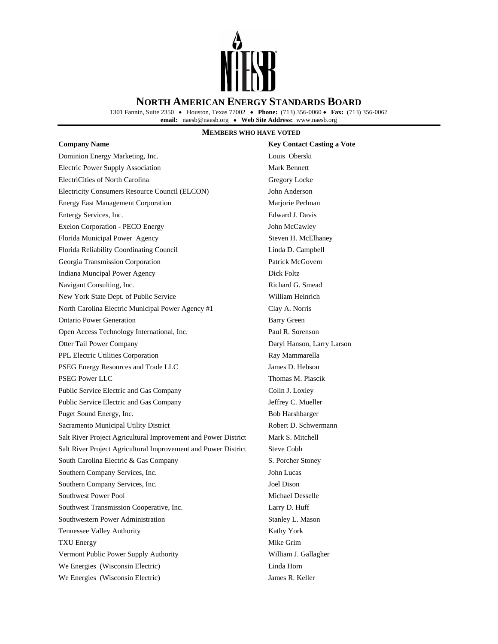

1301 Fannin, Suite 2350 • Houston, Texas 77002• **Phone:** (713) 356-0060 • **Fax:** (713) 356-0067

**email:** naesb@naesb.org • **Web Site Address:** www.naesb.org

## **MEMBERS WHO HAVE VOTED**

| <b>Company Name</b>                                            | <b>Key Contact Casting a Vote</b> |
|----------------------------------------------------------------|-----------------------------------|
| Dominion Energy Marketing, Inc.                                | Louis Oberski                     |
| <b>Electric Power Supply Association</b>                       | <b>Mark Bennett</b>               |
| ElectriCities of North Carolina                                | Gregory Locke                     |
| Electricity Consumers Resource Council (ELCON)                 | John Anderson                     |
| <b>Energy East Management Corporation</b>                      | Marjorie Perlman                  |
| Entergy Services, Inc.                                         | Edward J. Davis                   |
| Exelon Corporation - PECO Energy                               | John McCawley                     |
| Florida Municipal Power Agency                                 | Steven H. McElhaney               |
| Florida Reliability Coordinating Council                       | Linda D. Campbell                 |
| Georgia Transmission Corporation                               | Patrick McGovern                  |
| Indiana Muncipal Power Agency                                  | Dick Foltz                        |
| Navigant Consulting, Inc.                                      | Richard G. Smead                  |
| New York State Dept. of Public Service                         | William Heinrich                  |
| North Carolina Electric Municipal Power Agency #1              | Clay A. Norris                    |
| <b>Ontario Power Generation</b>                                | <b>Barry Green</b>                |
| Open Access Technology International, Inc.                     | Paul R. Sorenson                  |
| Otter Tail Power Company                                       | Daryl Hanson, Larry Larson        |
| PPL Electric Utilities Corporation                             | Ray Mammarella                    |
| PSEG Energy Resources and Trade LLC                            | James D. Hebson                   |
| <b>PSEG Power LLC</b>                                          | Thomas M. Piascik                 |
| Public Service Electric and Gas Company                        | Colin J. Loxley                   |
| Public Service Electric and Gas Company                        | Jeffrey C. Mueller                |
| Puget Sound Energy, Inc.                                       | <b>Bob Harshbarger</b>            |
| Sacramento Municipal Utility District                          | Robert D. Schwermann              |
| Salt River Project Agricultural Improvement and Power District | Mark S. Mitchell                  |
| Salt River Project Agricultural Improvement and Power District | <b>Steve Cobb</b>                 |
| South Carolina Electric & Gas Company                          | S. Porcher Stoney                 |
| Southern Company Services, Inc.                                | John Lucas                        |
| Southern Company Services, Inc.                                | Joel Dison                        |
| Southwest Power Pool                                           | Michael Desselle                  |
| Southwest Transmission Cooperative, Inc.                       | Larry D. Huff                     |
| Southwestern Power Administration                              | Stanley L. Mason                  |
| Tennessee Valley Authority                                     | Kathy York                        |
| <b>TXU Energy</b>                                              | Mike Grim                         |
| Vermont Public Power Supply Authority                          | William J. Gallagher              |
| We Energies (Wisconsin Electric)                               | Linda Horn                        |
| We Energies (Wisconsin Electric)                               | James R. Keller                   |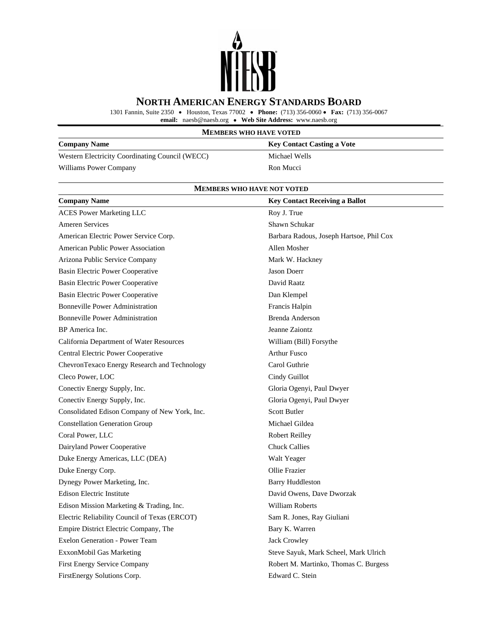

1301 Fannin, Suite 2350 • Houston, Texas 77002• **Phone:** (713) 356-0060 • **Fax:** (713) 356-0067

**email:** naesb@naesb.org • **Web Site Address:** www.naesb.org

## **MEMBERS WHO HAVE VOTED**

| <b>Company Name</b>                             | <b>Key Contact Casting a Vote</b> |
|-------------------------------------------------|-----------------------------------|
| Western Electricity Coordinating Council (WECC) | Michael Wells                     |
| Williams Power Company                          | Ron Mucci                         |

#### **MEMBERS WHO HAVE NOT VOTED**

| <b>Company Name</b>                           | <b>Key Contact Receiving a Ballot</b>    |
|-----------------------------------------------|------------------------------------------|
| <b>ACES</b> Power Marketing LLC               | Roy J. True                              |
| <b>Ameren Services</b>                        | Shawn Schukar                            |
| American Electric Power Service Corp.         | Barbara Radous, Joseph Hartsoe, Phil Cox |
| <b>American Public Power Association</b>      | Allen Mosher                             |
| Arizona Public Service Company                | Mark W. Hackney                          |
| Basin Electric Power Cooperative              | <b>Jason Doerr</b>                       |
| Basin Electric Power Cooperative              | David Raatz                              |
| Basin Electric Power Cooperative              | Dan Klempel                              |
| <b>Bonneville Power Administration</b>        | Francis Halpin                           |
| <b>Bonneville Power Administration</b>        | Brenda Anderson                          |
| BP America Inc.                               | Jeanne Zaiontz                           |
| California Department of Water Resources      | William (Bill) Forsythe                  |
| Central Electric Power Cooperative            | <b>Arthur Fusco</b>                      |
| ChevronTexaco Energy Research and Technology  | Carol Guthrie                            |
| Cleco Power, LOC                              | Cindy Guillot                            |
| Conectiv Energy Supply, Inc.                  | Gloria Ogenyi, Paul Dwyer                |
| Conectiv Energy Supply, Inc.                  | Gloria Ogenyi, Paul Dwyer                |
| Consolidated Edison Company of New York, Inc. | <b>Scott Butler</b>                      |
| <b>Constellation Generation Group</b>         | Michael Gildea                           |
| Coral Power, LLC                              | Robert Reilley                           |
| Dairyland Power Cooperative                   | <b>Chuck Callies</b>                     |
| Duke Energy Americas, LLC (DEA)               | Walt Yeager                              |
| Duke Energy Corp.                             | Ollie Frazier                            |
| Dynegy Power Marketing, Inc.                  | <b>Barry Huddleston</b>                  |
| <b>Edison Electric Institute</b>              | David Owens, Dave Dworzak                |
| Edison Mission Marketing & Trading, Inc.      | William Roberts                          |
| Electric Reliability Council of Texas (ERCOT) | Sam R. Jones, Ray Giuliani               |
| Empire District Electric Company, The         | Bary K. Warren                           |
| Exelon Generation - Power Team                | <b>Jack Crowley</b>                      |
| ExxonMobil Gas Marketing                      | Steve Sayuk, Mark Scheel, Mark Ulrich    |
| <b>First Energy Service Company</b>           | Robert M. Martinko, Thomas C. Burgess    |
| FirstEnergy Solutions Corp.                   | Edward C. Stein                          |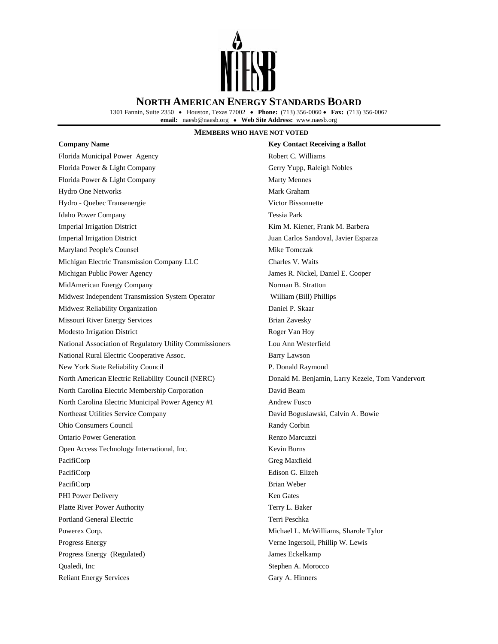

1301 Fannin, Suite 2350 • Houston, Texas 77002• **Phone:** (713) 356-0060 • **Fax:** (713) 356-0067

**email:** naesb@naesb.org • **Web Site Address:** www.naesb.org

## **MEMBERS WHO HAVE NOT VOTED**

| <b>Company Name</b>                                      | <b>Key Contact Receiving a Ballot</b>            |
|----------------------------------------------------------|--------------------------------------------------|
| Florida Municipal Power Agency                           | Robert C. Williams                               |
| Florida Power & Light Company                            | Gerry Yupp, Raleigh Nobles                       |
| Florida Power & Light Company                            | <b>Marty Mennes</b>                              |
| Hydro One Networks                                       | Mark Graham                                      |
| Hydro - Quebec Transenergie                              | <b>Victor Bissonnette</b>                        |
| Idaho Power Company                                      | <b>Tessia Park</b>                               |
| <b>Imperial Irrigation District</b>                      | Kim M. Kiener, Frank M. Barbera                  |
| <b>Imperial Irrigation District</b>                      | Juan Carlos Sandoval, Javier Esparza             |
| Maryland People's Counsel                                | Mike Tomczak                                     |
| Michigan Electric Transmission Company LLC               | Charles V. Waits                                 |
| Michigan Public Power Agency                             | James R. Nickel, Daniel E. Cooper                |
| MidAmerican Energy Company                               | Norman B. Stratton                               |
| Midwest Independent Transmission System Operator         | William (Bill) Phillips                          |
| Midwest Reliability Organization                         | Daniel P. Skaar                                  |
| Missouri River Energy Services                           | <b>Brian Zavesky</b>                             |
| Modesto Irrigation District                              | Roger Van Hoy                                    |
| National Association of Regulatory Utility Commissioners | Lou Ann Westerfield                              |
| National Rural Electric Cooperative Assoc.               | <b>Barry Lawson</b>                              |
| New York State Reliability Council                       | P. Donald Raymond                                |
| North American Electric Reliability Council (NERC)       | Donald M. Benjamin, Larry Kezele, Tom Vandervort |
| North Carolina Electric Membership Corporation           | David Beam                                       |
| North Carolina Electric Municipal Power Agency #1        | <b>Andrew Fusco</b>                              |
| Northeast Utilities Service Company                      | David Boguslawski, Calvin A. Bowie               |
| <b>Ohio Consumers Council</b>                            | Randy Corbin                                     |
| <b>Ontario Power Generation</b>                          | Renzo Marcuzzi                                   |
| Open Access Technology International, Inc.               | Kevin Burns                                      |
| PacifiCorp                                               | Greg Maxfield                                    |
| PacifiCorp                                               | Edison G. Elizeh                                 |
| PacifiCorp                                               | <b>Brian Weber</b>                               |
| PHI Power Delivery                                       | Ken Gates                                        |
| Platte River Power Authority                             | Terry L. Baker                                   |
| Portland General Electric                                | Terri Peschka                                    |
| Powerex Corp.                                            | Michael L. McWilliams, Sharole Tylor             |
| Progress Energy                                          | Verne Ingersoll, Phillip W. Lewis                |
| Progress Energy (Regulated)                              | James Eckelkamp                                  |
| Qualedi, Inc                                             | Stephen A. Morocco                               |
| <b>Reliant Energy Services</b>                           | Gary A. Hinners                                  |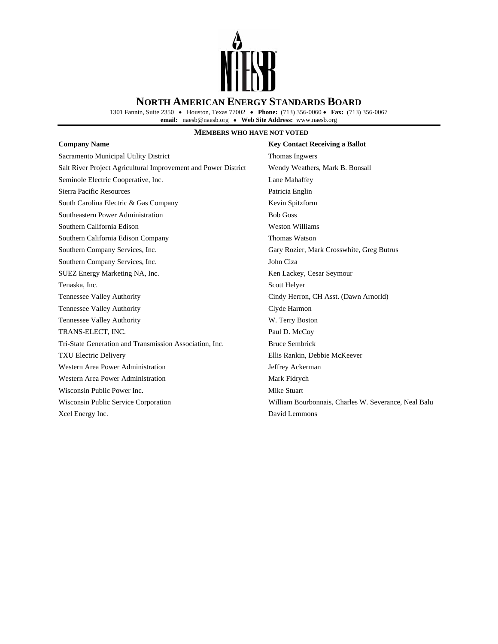

1301 Fannin, Suite 2350 • Houston, Texas 77002• **Phone:** (713) 356-0060 • **Fax:** (713) 356-0067

**email:** naesb@naesb.org • **Web Site Address:** www.naesb.org

## **MEMBERS WHO HAVE NOT VOTED**

| <b>Company Name</b>                                            | <b>Key Contact Receiving a Ballot</b>                |
|----------------------------------------------------------------|------------------------------------------------------|
| Sacramento Municipal Utility District                          | Thomas Ingwers                                       |
| Salt River Project Agricultural Improvement and Power District | Wendy Weathers, Mark B. Bonsall                      |
| Seminole Electric Cooperative, Inc.                            | Lane Mahaffey                                        |
| Sierra Pacific Resources                                       | Patricia Englin                                      |
| South Carolina Electric & Gas Company                          | Kevin Spitzform                                      |
| Southeastern Power Administration                              | <b>Bob Goss</b>                                      |
| Southern California Edison                                     | <b>Weston Williams</b>                               |
| Southern California Edison Company                             | Thomas Watson                                        |
| Southern Company Services, Inc.                                | Gary Rozier, Mark Crosswhite, Greg Butrus            |
| Southern Company Services, Inc.                                | John Ciza                                            |
| SUEZ Energy Marketing NA, Inc.                                 | Ken Lackey, Cesar Seymour                            |
| Tenaska, Inc.                                                  | Scott Helyer                                         |
| <b>Tennessee Valley Authority</b>                              | Cindy Herron, CH Asst. (Dawn Arnorld)                |
| Tennessee Valley Authority                                     | Clyde Harmon                                         |
| <b>Tennessee Valley Authority</b>                              | W. Terry Boston                                      |
| TRANS-ELECT, INC.                                              | Paul D. McCoy                                        |
| Tri-State Generation and Transmission Association, Inc.        | <b>Bruce Sembrick</b>                                |
| <b>TXU Electric Delivery</b>                                   | Ellis Rankin, Debbie McKeever                        |
| Western Area Power Administration                              | Jeffrey Ackerman                                     |
| Western Area Power Administration                              | Mark Fidrych                                         |
| Wisconsin Public Power Inc.                                    | Mike Stuart                                          |
| Wisconsin Public Service Corporation                           | William Bourbonnais, Charles W. Severance, Neal Balu |
| Xcel Energy Inc.                                               | David Lemmons                                        |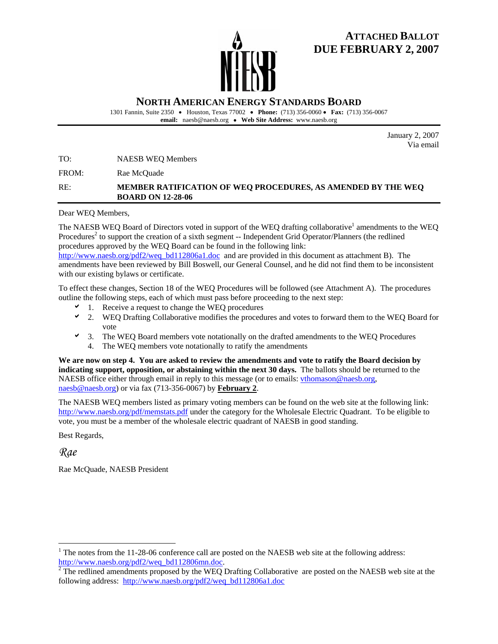# **ATTACHED BALLOT DUE FEBRUARY 2, 2007**

**NORTH AMERICAN ENERGY STANDARDS BOARD**

1301 Fannin, Suite 2350 • Houston, Texas 77002• **Phone:** (713) 356-0060 • **Fax:** (713) 356-0067 **email:** naesb@naesb.org • **Web Site Address:** www.naesb.org

> January 2, 2007 Via email

TO: NAESB WEQ Members

FROM: Rae McQuade

## RE: **MEMBER RATIFICATION OF WEQ PROCEDURES, AS AMENDED BY THE WEQ BOARD ON 12-28-06**

Dear WEQ Members,

The NAESB WEQ Board of Directors voted in support of the WEQ drafting collaborative<sup>1</sup> amendments to the WEQ Procedures<sup>2</sup> to support the creation of a sixth segment -- Independent Grid Operator/Planners (the redlined procedures approved by the WEQ Board can be found in the following link:

http://www.naesb.org/pdf2/weq\_bd112806a1.doc\_and are provided in this document as attachment B). The amendments have been reviewed by Bill Boswell, our General Counsel, and he did not find them to be inconsistent with our existing bylaws or certificate.

To effect these changes, Section 18 of the WEQ Procedures will be followed (see Attachment A). The procedures outline the following steps, each of which must pass before proceeding to the next step:

- 1. Receive a request to change the WEQ procedures
- $\sim$  2. WEQ Drafting Collaborative modifies the procedures and votes to forward them to the WEQ Board for vote
- a 3. The WEQ Board members vote notationally on the drafted amendments to the WEQ Procedures 4. The WEQ members vote notationally to ratify the amendments

**We are now on step 4. You are asked to review the amendments and vote to ratify the Board decision by indicating support, opposition, or abstaining within the next 30 days.** The ballots should be returned to the NAESB office either through email in reply to this message (or to emails: vthomason@naesb.org, naesb@naesb.org) or via fax (713-356-0067) by **February 2**.

The NAESB WEQ members listed as primary voting members can be found on the web site at the following link: http://www.naesb.org/pdf/memstats.pdf under the category for the Wholesale Electric Quadrant. To be eligible to vote, you must be a member of the wholesale electric quadrant of NAESB in good standing.

Best Regards,

*Rae* 

 $\overline{a}$ 

Rae McQuade, NAESB President

<sup>&</sup>lt;sup>1</sup> The notes from the 11-28-06 conference call are posted on the NAESB web site at the following address: http://www.naesb.org/pdf2/weq\_bd112806mn.doc.

<sup>&</sup>lt;sup>2</sup> The redlined amendments proposed by the WEQ Drafting Collaborative are posted on the NAESB web site at the following address: http://www.naesb.org/pdf2/weq\_bd112806a1.doc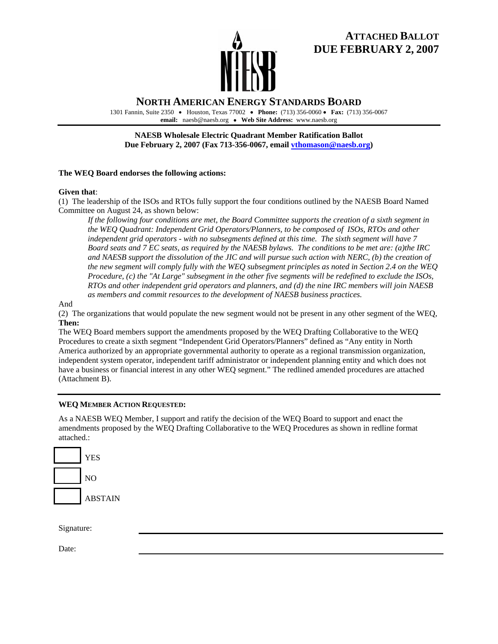

# **ATTACHED BALLOT DUE FEBRUARY 2, 2007**

## **NORTH AMERICAN ENERGY STANDARDS BOARD**

1301 Fannin, Suite 2350 • Houston, Texas 77002• **Phone:** (713) 356-0060 • **Fax:** (713) 356-0067 **email:** naesb@naesb.org • **Web Site Address:** www.naesb.org

**NAESB Wholesale Electric Quadrant Member Ratification Ballot Due February 2, 2007 (Fax 713-356-0067, email vthomason@naesb.org)** 

### **The WEQ Board endorses the following actions:**

#### **Given that**:

(1) The leadership of the ISOs and RTOs fully support the four conditions outlined by the NAESB Board Named Committee on August 24, as shown below:

*If the following four conditions are met, the Board Committee supports the creation of a sixth segment in the WEQ Quadrant: Independent Grid Operators/Planners, to be composed of ISOs, RTOs and other independent grid operators - with no subsegments defined at this time. The sixth segment will have 7 Board seats and 7 EC seats, as required by the NAESB bylaws. The conditions to be met are: (a)the IRC*  and NAESB support the dissolution of the JIC and will pursue such action with NERC, (b) the creation of *the new segment will comply fully with the WEQ subsegment principles as noted in Section 2.4 on the WEQ Procedure, (c) the "At Large" subsegment in the other five segments will be redefined to exclude the ISOs, RTOs and other independent grid operators and planners, and (d) the nine IRC members will join NAESB as members and commit resources to the development of NAESB business practices.* 

#### And

(2) The organizations that would populate the new segment would not be present in any other segment of the WEQ, **Then:** 

The WEQ Board members support the amendments proposed by the WEQ Drafting Collaborative to the WEQ Procedures to create a sixth segment "Independent Grid Operators/Planners" defined as "Any entity in North America authorized by an appropriate governmental authority to operate as a regional transmission organization, independent system operator, independent tariff administrator or independent planning entity and which does not have a business or financial interest in any other WEQ segment." The redlined amended procedures are attached (Attachment B).

### **WEQ MEMBER ACTION REQUESTED:**

As a NAESB WEQ Member, I support and ratify the decision of the WEQ Board to support and enact the amendments proposed by the WEQ Drafting Collaborative to the WEQ Procedures as shown in redline format attached.:



Signature:

Date: